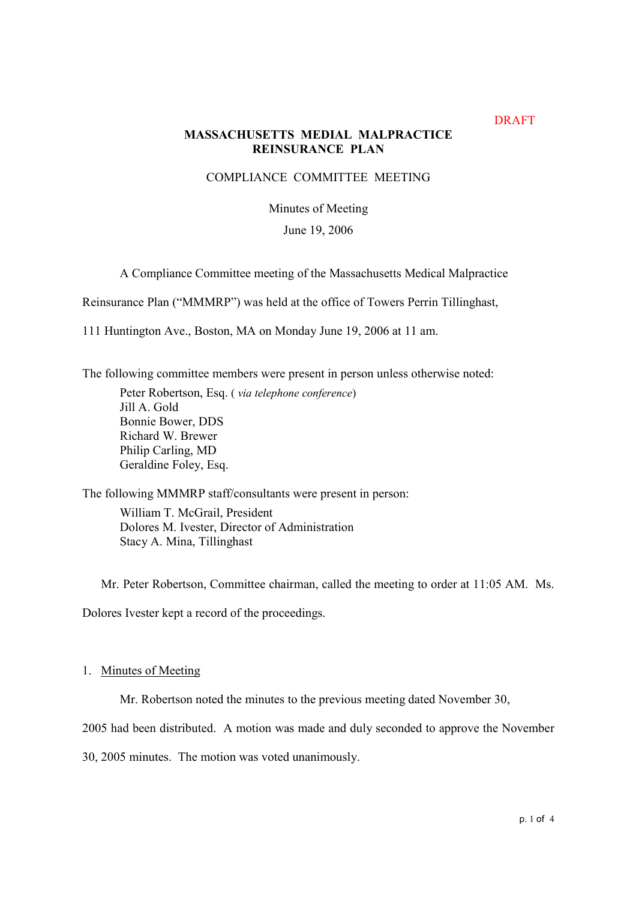## DRAFT

# **MASSACHUSETTS MEDIAL MALPRACTICE REINSURANCE PLAN**

## COMPLIANCE COMMITTEE MEETING

# Minutes of Meeting

## June 19, 2006

A Compliance Committee meeting of the Massachusetts Medical Malpractice

Reinsurance Plan ("MMMRP") was held at the office of Towers Perrin Tillinghast,

111 Huntington Ave., Boston, MA on Monday June 19, 2006 at 11 am.

The following committee members were present in person unless otherwise noted:

Peter Robertson, Esq. ( via telephone conference) Jill A. Gold Bonnie Bower, DDS Richard W. Brewer Philip Carling, MD Geraldine Foley, Esq.

The following MMMRP staff/consultants were present in person:

William T. McGrail, President Dolores M. Ivester, Director of Administration Stacy A. Mina, Tillinghast

Mr. Peter Robertson, Committee chairman, called the meeting to order at 11:05 AM. Ms.

Dolores Ivester kept a record of the proceedings.

### 1. Minutes of Meeting

Mr. Robertson noted the minutes to the previous meeting dated November 30,

2005 had been distributed. A motion was made and duly seconded to approve the November

30, 2005 minutes. The motion was voted unanimously.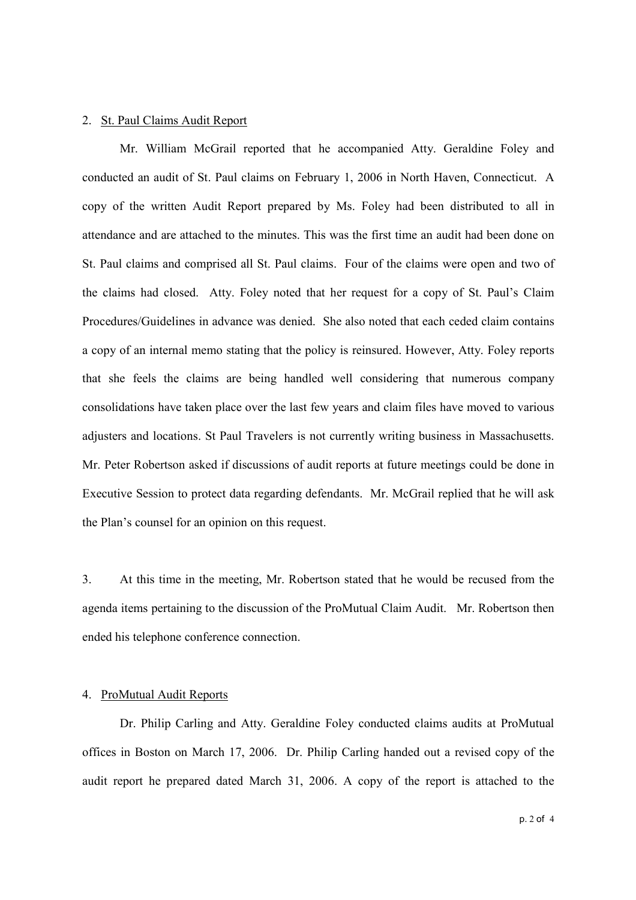#### 2. St. Paul Claims Audit Report

Mr. William McGrail reported that he accompanied Atty. Geraldine Foley and conducted an audit of St. Paul claims on February 1, 2006 in North Haven, Connecticut. A copy of the written Audit Report prepared by Ms. Foley had been distributed to all in attendance and are attached to the minutes. This was the first time an audit had been done on St. Paul claims and comprised all St. Paul claims. Four of the claims were open and two of the claims had closed. Atty. Foley noted that her request for a copy of St. Paul's Claim Procedures/Guidelines in advance was denied. She also noted that each ceded claim contains a copy of an internal memo stating that the policy is reinsured. However, Atty. Foley reports that she feels the claims are being handled well considering that numerous company consolidations have taken place over the last few years and claim files have moved to various adjusters and locations. St Paul Travelers is not currently writing business in Massachusetts. Mr. Peter Robertson asked if discussions of audit reports at future meetings could be done in Executive Session to protect data regarding defendants. Mr. McGrail replied that he will ask the Plan's counsel for an opinion on this request.

3. At this time in the meeting, Mr. Robertson stated that he would be recused from the agenda items pertaining to the discussion of the ProMutual Claim Audit. Mr. Robertson then ended his telephone conference connection.

### 4. ProMutual Audit Reports

Dr. Philip Carling and Atty. Geraldine Foley conducted claims audits at ProMutual offices in Boston on March 17, 2006. Dr. Philip Carling handed out a revised copy of the audit report he prepared dated March 31, 2006. A copy of the report is attached to the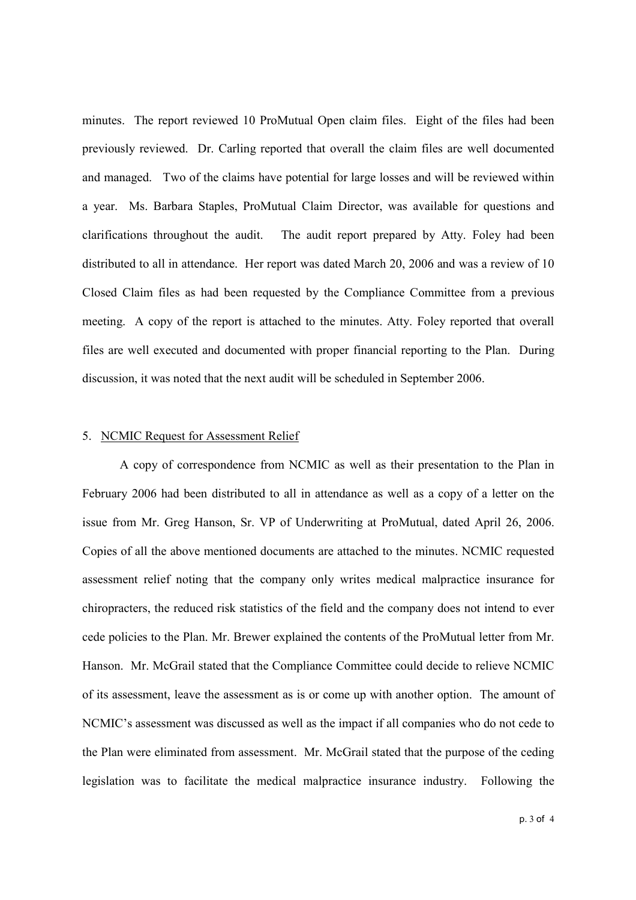minutes. The report reviewed 10 ProMutual Open claim files. Eight of the files had been previously reviewed. Dr. Carling reported that overall the claim files are well documented and managed. Two of the claims have potential for large losses and will be reviewed within a year. Ms. Barbara Staples, ProMutual Claim Director, was available for questions and clarifications throughout the audit. The audit report prepared by Atty. Foley had been distributed to all in attendance. Her report was dated March 20, 2006 and was a review of 10 Closed Claim files as had been requested by the Compliance Committee from a previous meeting. A copy of the report is attached to the minutes. Atty. Foley reported that overall files are well executed and documented with proper financial reporting to the Plan. During discussion, it was noted that the next audit will be scheduled in September 2006.

#### 5. NCMIC Request for Assessment Relief

A copy of correspondence from NCMIC as well as their presentation to the Plan in February 2006 had been distributed to all in attendance as well as a copy of a letter on the issue from Mr. Greg Hanson, Sr. VP of Underwriting at ProMutual, dated April 26, 2006. Copies of all the above mentioned documents are attached to the minutes. NCMIC requested assessment relief noting that the company only writes medical malpractice insurance for chiropracters, the reduced risk statistics of the field and the company does not intend to ever cede policies to the Plan. Mr. Brewer explained the contents of the ProMutual letter from Mr. Hanson. Mr. McGrail stated that the Compliance Committee could decide to relieve NCMIC of its assessment, leave the assessment as is or come up with another option. The amount of NCMIC's assessment was discussed as well as the impact if all companies who do not cede to the Plan were eliminated from assessment. Mr. McGrail stated that the purpose of the ceding legislation was to facilitate the medical malpractice insurance industry. Following the